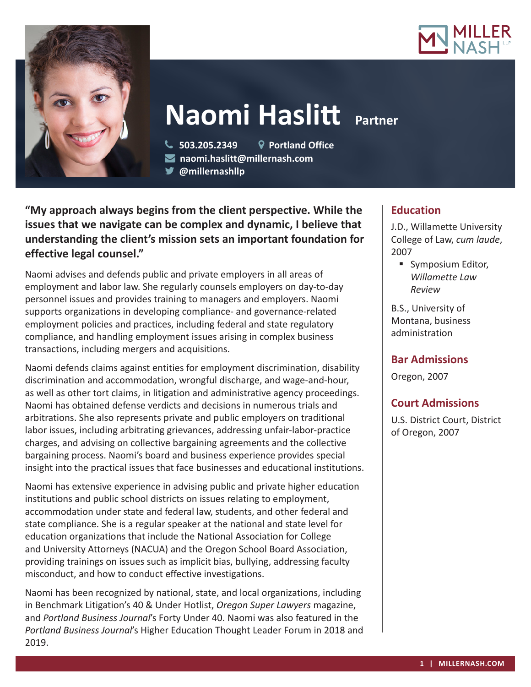



# **Naomi Haslitt Partner**

 **503.205.2349 Portland Office naomi.haslitt@millernash.com** 

**@millernashllp** 

**"My approach always begins from the client perspective. While the issues that we navigate can be complex and dynamic, I believe that understanding the client's mission sets an important foundation for effective legal counsel."**

Naomi advises and defends public and private employers in all areas of employment and labor law. She regularly counsels employers on day-to-day personnel issues and provides training to managers and employers. Naomi supports organizations in developing compliance- and governance-related employment policies and practices, including federal and state regulatory compliance, and handling employment issues arising in complex business transactions, including mergers and acquisitions.

Naomi defends claims against entities for employment discrimination, disability discrimination and accommodation, wrongful discharge, and wage-and-hour, as well as other tort claims, in litigation and administrative agency proceedings. Naomi has obtained defense verdicts and decisions in numerous trials and arbitrations. She also represents private and public employers on traditional labor issues, including arbitrating grievances, addressing unfair-labor-practice charges, and advising on collective bargaining agreements and the collective bargaining process. Naomi's board and business experience provides special insight into the practical issues that face businesses and educational institutions.

Naomi has extensive experience in advising public and private higher education institutions and public school districts on issues relating to employment, accommodation under state and federal law, students, and other federal and state compliance. She is a regular speaker at the national and state level for education organizations that include the National Association for College and University Attorneys (NACUA) and the Oregon School Board Association, providing trainings on issues such as implicit bias, bullying, addressing faculty misconduct, and how to conduct effective investigations.

Naomi has been recognized by national, state, and local organizations, including in Benchmark Litigation's 40 & Under Hotlist, *Oregon Super Lawyers* magazine, and *Portland Business Journal*'s Forty Under 40. Naomi was also featured in the *Portland Business Journal*'s Higher Education Thought Leader Forum in 2018 and 2019.

# **Education**

J.D., Willamette University College of Law, *cum laude*, 2007

**Symposium Editor,** *Willamette Law Review*

B.S., University of Montana, business administration

# **Bar Admissions**

Oregon, 2007

# **Court Admissions**

U.S. District Court, District of Oregon, 2007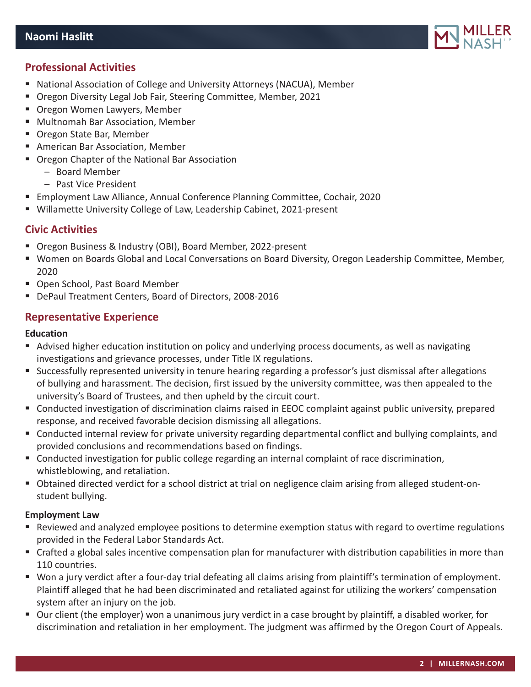

# **Professional Activities**

- National Association of College and University Attorneys (NACUA), Member
- Oregon Diversity Legal Job Fair, Steering Committee, Member, 2021
- **Oregon Women Lawyers, Member**
- Multnomah Bar Association, Member
- Oregon State Bar, Member
- American Bar Association, Member
- Oregon Chapter of the National Bar Association
	- Board Member
	- Past Vice President
- Employment Law Alliance, Annual Conference Planning Committee, Cochair, 2020
- Willamette University College of Law, Leadership Cabinet, 2021-present

# **Civic Activities**

- Oregon Business & Industry (OBI), Board Member, 2022-present
- Women on Boards Global and Local Conversations on Board Diversity, Oregon Leadership Committee, Member, 2020
- Open School, Past Board Member
- DePaul Treatment Centers, Board of Directors, 2008-2016

# **Representative Experience**

## **Education**

- Advised higher education institution on policy and underlying process documents, as well as navigating investigations and grievance processes, under Title IX regulations.
- Successfully represented university in tenure hearing regarding a professor's just dismissal after allegations of bullying and harassment. The decision, first issued by the university committee, was then appealed to the university's Board of Trustees, and then upheld by the circuit court.
- Conducted investigation of discrimination claims raised in EEOC complaint against public university, prepared response, and received favorable decision dismissing all allegations.
- Conducted internal review for private university regarding departmental conflict and bullying complaints, and provided conclusions and recommendations based on findings.
- Conducted investigation for public college regarding an internal complaint of race discrimination, whistleblowing, and retaliation.
- Obtained directed verdict for a school district at trial on negligence claim arising from alleged student-onstudent bullying.

## **Employment Law**

- Reviewed and analyzed employee positions to determine exemption status with regard to overtime regulations provided in the Federal Labor Standards Act.
- Crafted a global sales incentive compensation plan for manufacturer with distribution capabilities in more than 110 countries.
- Won a jury verdict after a four-day trial defeating all claims arising from plaintiff's termination of employment. Plaintiff alleged that he had been discriminated and retaliated against for utilizing the workers' compensation system after an injury on the job.
- Our client (the employer) won a unanimous jury verdict in a case brought by plaintiff, a disabled worker, for discrimination and retaliation in her employment. The judgment was affirmed by the Oregon Court of Appeals.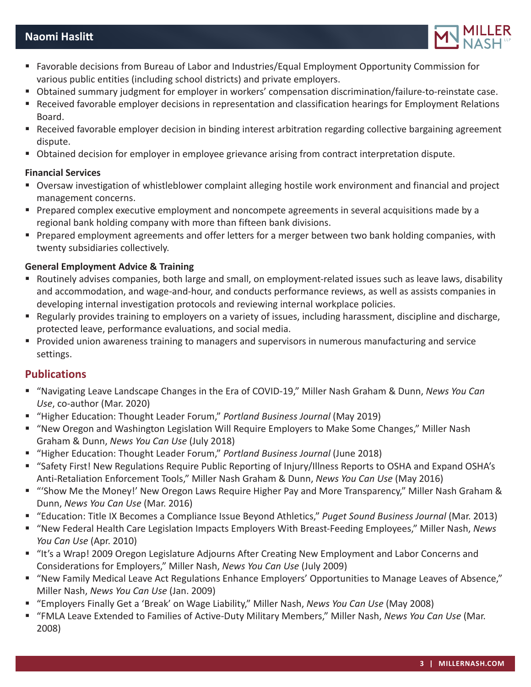# **Naomi Haslitt**



- Favorable decisions from Bureau of Labor and Industries/Equal Employment Opportunity Commission for various public entities (including school districts) and private employers.
- Obtained summary judgment for employer in workers' compensation discrimination/failure-to-reinstate case.
- Received favorable employer decisions in representation and classification hearings for Employment Relations Board.
- Received favorable employer decision in binding interest arbitration regarding collective bargaining agreement dispute.
- Obtained decision for employer in employee grievance arising from contract interpretation dispute.

#### **Financial Services**

- Oversaw investigation of whistleblower complaint alleging hostile work environment and financial and project management concerns.
- **Prepared complex executive employment and noncompete agreements in several acquisitions made by a** regional bank holding company with more than fifteen bank divisions.
- **Prepared employment agreements and offer letters for a merger between two bank holding companies, with** twenty subsidiaries collectively.

## **General Employment Advice & Training**

- Routinely advises companies, both large and small, on employment-related issues such as leave laws, disability and accommodation, and wage-and-hour, and conducts performance reviews, as well as assists companies in developing internal investigation protocols and reviewing internal workplace policies.
- Regularly provides training to employers on a variety of issues, including harassment, discipline and discharge, protected leave, performance evaluations, and social media.
- **Provided union awareness training to managers and supervisors in numerous manufacturing and service** settings.

## **Publications**

- "Navigating Leave Landscape Changes in the Era of COVID-19," Miller Nash Graham & Dunn, *News You Can Use*, co-author (Mar. 2020)
- "Higher Education: Thought Leader Forum," *Portland Business Journal* (May 2019)
- "New Oregon and Washington Legislation Will Require Employers to Make Some Changes," Miller Nash Graham & Dunn, *News You Can Use* (July 2018)
- "Higher Education: Thought Leader Forum," *Portland Business Journal* (June 2018)
- "Safety First! New Regulations Require Public Reporting of Injury/Illness Reports to OSHA and Expand OSHA's Anti-Retaliation Enforcement Tools," Miller Nash Graham & Dunn, *News You Can Use* (May 2016)
- "Show Me the Money!' New Oregon Laws Require Higher Pay and More Transparency," Miller Nash Graham & Dunn, *News You Can Use* (Mar. 2016)
- "Education: Title IX Becomes a Compliance Issue Beyond Athletics," *Puget Sound Business Journal* (Mar. 2013)
- "New Federal Health Care Legislation Impacts Employers With Breast-Feeding Employees," Miller Nash, *News You Can Use* (Apr. 2010)
- "It's a Wrap! 2009 Oregon Legislature Adjourns After Creating New Employment and Labor Concerns and Considerations for Employers," Miller Nash, *News You Can Use* (July 2009)
- "New Family Medical Leave Act Regulations Enhance Employers' Opportunities to Manage Leaves of Absence," Miller Nash, *News You Can Use* (Jan. 2009)
- "Employers Finally Get a 'Break' on Wage Liability," Miller Nash, *News You Can Use* (May 2008)
- "FMLA Leave Extended to Families of Active-Duty Military Members," Miller Nash, *News You Can Use* (Mar. 2008)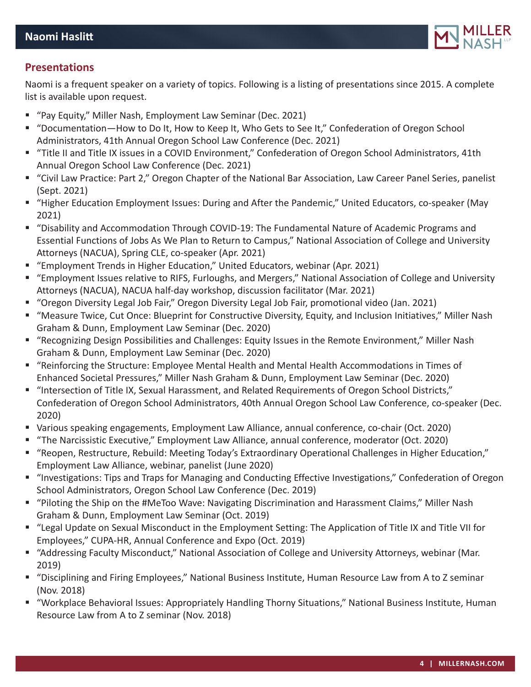

# **Presentations**

Naomi is a frequent speaker on a variety of topics. Following is a listing of presentations since 2015. A complete list is available upon request.

- "Pay Equity," Miller Nash, Employment Law Seminar (Dec. 2021)
- "Documentation-How to Do It, How to Keep It, Who Gets to See It," Confederation of Oregon School Administrators, 41th Annual Oregon School Law Conference (Dec. 2021)
- "Title II and Title IX issues in a COVID Environment," Confederation of Oregon School Administrators, 41th Annual Oregon School Law Conference (Dec. 2021)
- "Civil Law Practice: Part 2," Oregon Chapter of the National Bar Association, Law Career Panel Series, panelist (Sept. 2021)
- "Higher Education Employment Issues: During and After the Pandemic," United Educators, co-speaker (May 2021)
- "Disability and Accommodation Through COVID-19: The Fundamental Nature of Academic Programs and Essential Functions of Jobs As We Plan to Return to Campus," National Association of College and University Attorneys (NACUA), Spring CLE, co-speaker (Apr. 2021)
- "Employment Trends in Higher Education," United Educators, webinar (Apr. 2021)
- "Employment Issues relative to RIFS, Furloughs, and Mergers," National Association of College and University Attorneys (NACUA), NACUA half-day workshop, discussion facilitator (Mar. 2021)
- "Oregon Diversity Legal Job Fair," Oregon Diversity Legal Job Fair, promotional video (Jan. 2021)
- "Measure Twice, Cut Once: Blueprint for Constructive Diversity, Equity, and Inclusion Initiatives," Miller Nash Graham & Dunn, Employment Law Seminar (Dec. 2020)
- "Recognizing Design Possibilities and Challenges: Equity Issues in the Remote Environment," Miller Nash Graham & Dunn, Employment Law Seminar (Dec. 2020)
- "Reinforcing the Structure: Employee Mental Health and Mental Health Accommodations in Times of Enhanced Societal Pressures," Miller Nash Graham & Dunn, Employment Law Seminar (Dec. 2020)
- "Intersection of Title IX, Sexual Harassment, and Related Requirements of Oregon School Districts," Confederation of Oregon School Administrators, 40th Annual Oregon School Law Conference, co-speaker (Dec. 2020)
- Various speaking engagements, Employment Law Alliance, annual conference, co-chair (Oct. 2020)
- "The Narcissistic Executive," Employment Law Alliance, annual conference, moderator (Oct. 2020)
- "Reopen, Restructure, Rebuild: Meeting Today's Extraordinary Operational Challenges in Higher Education," Employment Law Alliance, webinar, panelist (June 2020)
- "Investigations: Tips and Traps for Managing and Conducting Effective Investigations," Confederation of Oregon School Administrators, Oregon School Law Conference (Dec. 2019)
- "Piloting the Ship on the #MeToo Wave: Navigating Discrimination and Harassment Claims," Miller Nash Graham & Dunn, Employment Law Seminar (Oct. 2019)
- "Legal Update on Sexual Misconduct in the Employment Setting: The Application of Title IX and Title VII for Employees," CUPA-HR, Annual Conference and Expo (Oct. 2019)
- "Addressing Faculty Misconduct," National Association of College and University Attorneys, webinar (Mar. 2019)
- "Disciplining and Firing Employees," National Business Institute, Human Resource Law from A to Z seminar (Nov. 2018)
- "Workplace Behavioral Issues: Appropriately Handling Thorny Situations," National Business Institute, Human Resource Law from A to Z seminar (Nov. 2018)